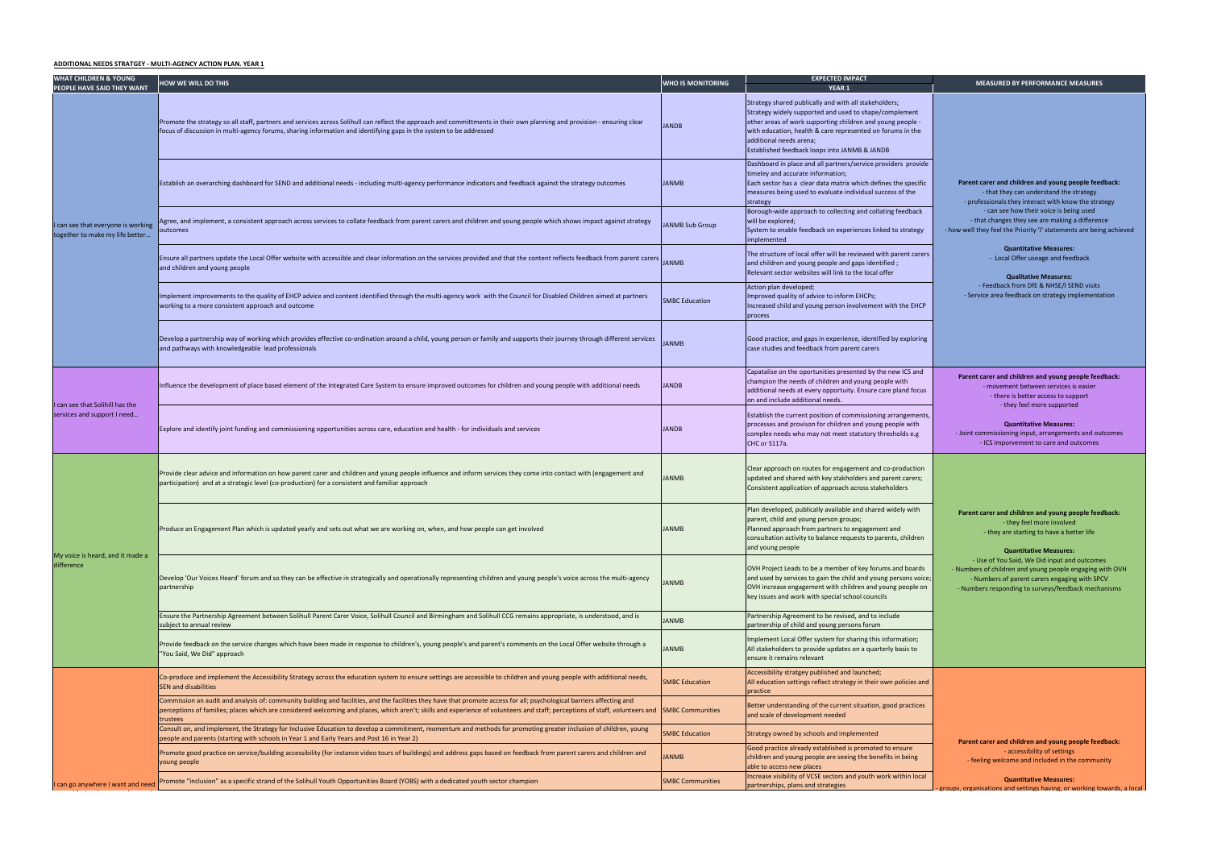| <b>WHAT CHILDREN &amp; YOUNG</b><br>PEOPLE HAVE SAID THEY WANT      | <b>HOW WE WILL DO THIS</b>                                                                                                                                                                                                                                                                                                                                                                    | <b>WHO IS MONITORING</b> | <b>EXPECTED IMPACT</b><br>YEAR <sub>1</sub>                                                                                                                                                                                                                                                                             |  |
|---------------------------------------------------------------------|-----------------------------------------------------------------------------------------------------------------------------------------------------------------------------------------------------------------------------------------------------------------------------------------------------------------------------------------------------------------------------------------------|--------------------------|-------------------------------------------------------------------------------------------------------------------------------------------------------------------------------------------------------------------------------------------------------------------------------------------------------------------------|--|
| can see that everyone is working<br>together to make my life better | Promote the strategy so all staff, partners and services across Solihull can reflect the approach and committments in their own planning and provision - ensuring clear<br><b>JANDB</b><br>focus of discussion in multi-agency forums, sharing information and identifying gaps in the system to be addressed                                                                                 |                          | Strategy shared publically and with all stakeholders;<br>Strategy widely supported and used to shape/complement<br>other areas of work supporting children and young people -<br>with education, health & care represented on forums in the<br>additional needs arena;<br>Established feedback loops into JANMB & JANDB |  |
|                                                                     | Establish an overarching dashboard for SEND and additional needs - including multi-agency performance indicators and feedback against the strategy outcomes<br><b>JANMB</b>                                                                                                                                                                                                                   |                          | Dashboard in place and all partners/service providers provide<br>timeley and accurate information;<br>Each sector has a clear data matrix which defines the specific<br>measures being used to evaluate individual success of the<br>strategy                                                                           |  |
|                                                                     | Agree, and implement, a consistent approach across services to collate feedback from parent carers and children and young people which shows impact against strategy<br><b>JANMB Sub Group</b><br>outcomes                                                                                                                                                                                    |                          | Borough-wide approach to collecting and collating feedback<br>will be explored;<br>System to enable feedback on experiences linked to strategy<br>implemented                                                                                                                                                           |  |
|                                                                     | Ensure all partners update the Local Offer website with accessible and clear information on the services provided and that the content reflects feedback from parent carers JANMB<br>and children and young people                                                                                                                                                                            |                          | The structure of local offer will be reviewed with parent carers<br>and children and young people and gaps identified;<br>Relevant sector websites will link to the local offer                                                                                                                                         |  |
|                                                                     | Implement improvements to the quality of EHCP advice and content identified through the multi-agency work with the Council for Disabled Children aimed at partners<br><b>SMBC Education</b><br>working to a more consistent approach and outcome                                                                                                                                              |                          | Action plan developed;<br>Improved quality of advice to inform EHCPs;<br>Increased child and young person involvement with the EHCP<br>process                                                                                                                                                                          |  |
|                                                                     | Develop a partnership way of working which provides effective co-ordination around a child, young person or family and supports their journey through different services<br>and pathways with knowledgeable lead professionals                                                                                                                                                                | <b>JANMB</b>             | Good practice, and gaps in experience, identified by exploring<br>case studies and feedback from parent carers                                                                                                                                                                                                          |  |
|                                                                     | Influence the development of place based element of the Integrated Care System to ensure improved outcomes for children and young people with additional needs                                                                                                                                                                                                                                | <b>JANDB</b>             | Capatalise on the oportunities presented by the new ICS and<br>champion the needs of children and young people with<br>additional needs at every opportuity. Ensure care pland focus<br>on and include additional needs.                                                                                                |  |
| I can see that Solihill has the<br>services and support I need      | Explore and identify joint funding and commissioning opportunities across care, education and health - for individuals and services                                                                                                                                                                                                                                                           | <b>JANDB</b>             | Establish the current position of commissioning arrangements,<br>processes and provison for children and young people with<br>complex needs who may not meet statutory thresholds e.g<br>CHC or S117a.                                                                                                                  |  |
| My voice is heard, and it made a<br>difference                      | Provide clear advice and information on how parent carer and children and young people influence and inform services they come into contact with (engagement and<br>participation) and at a strategic level (co-production) for a consistent and familiar approach                                                                                                                            | <b>JANMB</b>             | Clear approach on routes for engagement and co-production<br>updated and shared with key stakholders and parent carers;<br>Consistent application of approach across stakeholders                                                                                                                                       |  |
|                                                                     | Produce an Engagement Plan which is updated yearly and sets out what we are working on, when, and how people can get involved                                                                                                                                                                                                                                                                 | <b>ANMB</b>              | Plan developed, publically available and shared widely with<br>parent, child and young person groups;<br>Planned approach from partners to engagement and<br>consultation activity to balance requests to parents, children<br>and young people                                                                         |  |
|                                                                     | Develop 'Our Voices Heard' forum and so they can be effective in strategically and operationally representing children and young people's voice across the multi-agency<br>partnership                                                                                                                                                                                                        |                          | OVH Project Leads to be a member of key forums and boards<br>and used by services to gain the child and young persons voice;<br>OVH increase engagement with children and young people on<br>key issues and work with special school councils                                                                           |  |
|                                                                     | Ensure the Partnership Agreement between Solihull Parent Carer Voice, Solihull Council and Birmingham and Solihull CCG remains appropriate, is understood, and is<br>subject to annual review                                                                                                                                                                                                 |                          | Partnership Agreement to be revised, and to include<br>partnership of child and young persons forum                                                                                                                                                                                                                     |  |
|                                                                     | Provide feedback on the service changes which have been made in response to children's, young people's and parent's comments on the Local Offer website through a<br>"You Said, We Did" approach                                                                                                                                                                                              |                          | Implement Local Offer system for sharing this information;<br>All stakeholders to provide updates on a quarterly basis to<br>ensure it remains relevant                                                                                                                                                                 |  |
|                                                                     | Co-produce and implement the Accessibility Strategy across the education system to ensure settings are accessible to children and young people with additional needs,<br>SEN and disabilities                                                                                                                                                                                                 | <b>SMBC Education</b>    | Accessibility stratgey published and launched;<br>All education settings reflect strategy in their own policies and<br>practice                                                                                                                                                                                         |  |
|                                                                     | Commission an audit and analysis of: community building and facilities, and the facilities they have that promote access for all; psychological barriers affecting and<br>perceptions of families; places which are considered welcoming and places, which aren't; skills and experience of volunteers and staff; perceptions of staff, volunteers and<br><b>SMBC Communities</b><br>trustees |                          | Better understanding of the current situation, good practices<br>and scale of development needed                                                                                                                                                                                                                        |  |
|                                                                     | Consult on, and implement, the Strategy for Inclusive Education to develop a commitment, momentum and methods for promoting greater inclusion of children, young<br>people and parents (starting with schools in Year 1 and Early Years and Post 16 in Year 2)                                                                                                                                | <b>SMBC Education</b>    | Strategy owned by schools and implemented                                                                                                                                                                                                                                                                               |  |
|                                                                     | Promote good practice on service/building accessibility (for instance video tours of buildings) and address gaps based on feedback from parent carers and children and<br>young people                                                                                                                                                                                                        | <b>JANMB</b>             | Good practice already established is promoted to ensure<br>children and young people are seeing the benefits in being<br>able to access new places                                                                                                                                                                      |  |
| can go anywhere I want and need                                     | Promote "inclusion" as a specific strand of the Solihull Youth Opportunities Board (YOBS) with a dedicated youth sector champion                                                                                                                                                                                                                                                              | <b>SMBC Communities</b>  | Increase visibility of VCSE sectors and youth work within local<br>partnerships, plans and strategies                                                                                                                                                                                                                   |  |

|                         | <b>MEASURED BY PERFORMANCE MEASURES</b>                                                                                                                                                                          |
|-------------------------|------------------------------------------------------------------------------------------------------------------------------------------------------------------------------------------------------------------|
| ٦t<br>e -<br>he         |                                                                                                                                                                                                                  |
| ovide                   |                                                                                                                                                                                                                  |
| ecific<br>e.            | Parent carer and children and young people feedback:<br>- that they can understand the strategy<br>- professionals they interact with know the strategy                                                          |
| ack                     | - can see how their voice is being used<br>- that changes they see are making a difference                                                                                                                       |
| egy                     | - how well they feel the Priority 'I' statements are being achieved                                                                                                                                              |
| <b>carers</b>           | <b>Quantitative Measures:</b><br>- Local Offer useage and feedback<br><b>Qualitative Measures:</b>                                                                                                               |
| <b>HCP</b>              | - Feedback from DfE & NHSE/I SEND visits<br>- Service area feedback on strategy implementation                                                                                                                   |
| oring                   |                                                                                                                                                                                                                  |
| and                     | Parent carer and children and young people feedback:                                                                                                                                                             |
| ocus                    | - movement between services is easier<br>- there is better access to support                                                                                                                                     |
| ents,<br>th<br>٠g       | - they feel more supported<br><b>Quantitative Measures:</b><br>- Joint commissioning input, arrangements and outcomes<br>- ICS imporvement to care and outcomes                                                  |
| tion<br>ers;            |                                                                                                                                                                                                                  |
| th                      | Parent carer and children and young people feedback:                                                                                                                                                             |
| Iren                    | - they feel more involved<br>- they are starting to have a better life<br><b>Quantitative Measures:</b>                                                                                                          |
| ards<br>voice;<br>le on | - Use of You Said, We Did input and outcomes<br>- Numbers of children and young people engaging with OVH<br>- Numbers of parent carers engaging with SPCV<br>- Numbers responding to surveys/feedback mechanisms |
| n;<br>О                 |                                                                                                                                                                                                                  |
| s and                   |                                                                                                                                                                                                                  |
| ices                    |                                                                                                                                                                                                                  |
|                         | Parent carer and children and young people feedback:                                                                                                                                                             |
| g                       | - accessibility of settings<br>- feeling welcome and included in the community                                                                                                                                   |
| local                   | <b>Quantitative Measures:</b>                                                                                                                                                                                    |
|                         | groups, organisations and settings having, or working towards, a local                                                                                                                                           |

## **ADDITIONAL NEEDS STRATGEY - MULTI-AGENCY ACTION PLAN. YEAR 1**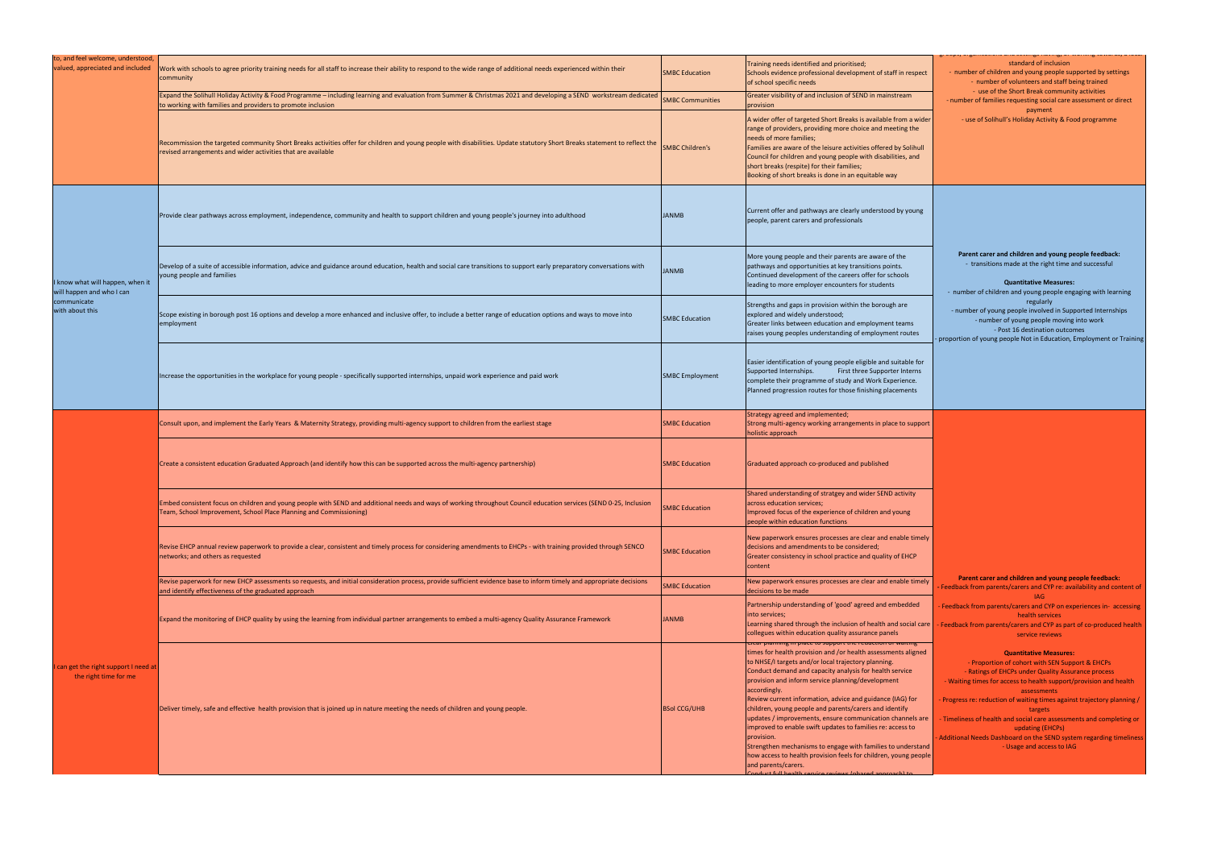| to, and feel welcome, understood,                                                               |                                                                                                                                                                                                                                           |                                                                                                                                                                                                             |                                                                                                                                                                                                                                                                                                                                                                                                                                                                                                                                                                                                                                                                                                                                               |  |
|-------------------------------------------------------------------------------------------------|-------------------------------------------------------------------------------------------------------------------------------------------------------------------------------------------------------------------------------------------|-------------------------------------------------------------------------------------------------------------------------------------------------------------------------------------------------------------|-----------------------------------------------------------------------------------------------------------------------------------------------------------------------------------------------------------------------------------------------------------------------------------------------------------------------------------------------------------------------------------------------------------------------------------------------------------------------------------------------------------------------------------------------------------------------------------------------------------------------------------------------------------------------------------------------------------------------------------------------|--|
| valued, appreciated and included                                                                | Work with schools to agree priority training needs for all staff to increase their ability to respond to the wide range of additional needs experienced within their<br>community                                                         | <b>SMBC Education</b>                                                                                                                                                                                       | Training needs identified and prioritised;<br>Schools evidence professional development of staff in respect<br>of school specific needs                                                                                                                                                                                                                                                                                                                                                                                                                                                                                                                                                                                                       |  |
|                                                                                                 | Expand the Solihull Holiday Activity & Food Programme – including learning and evaluation from Summer & Christmas 2021 and developing a SEND workstream dedicated<br>to working with families and providers to promote inclusion          | <b>SMBC Communities</b>                                                                                                                                                                                     | Greater visibility of and inclusion of SEND in mainstream<br>provision                                                                                                                                                                                                                                                                                                                                                                                                                                                                                                                                                                                                                                                                        |  |
|                                                                                                 | Recommission the targeted community Short Breaks activities offer for children and young people with disabilities. Update statutory Short Breaks statement to reflect the<br>revised arrangements and wider activities that are available | <b>SMBC Children's</b>                                                                                                                                                                                      | A wider offer of targeted Short Breaks is available from a wider<br>range of providers, providing more choice and meeting the<br>needs of more families;<br>Families are aware of the leisure activities offered by Solihull<br>Council for children and young people with disabilities, and<br>short breaks (respite) for their families;<br>Booking of short breaks is done in an equitable way                                                                                                                                                                                                                                                                                                                                             |  |
|                                                                                                 |                                                                                                                                                                                                                                           |                                                                                                                                                                                                             |                                                                                                                                                                                                                                                                                                                                                                                                                                                                                                                                                                                                                                                                                                                                               |  |
| I know what will happen, when it<br>will happen and who I can<br>communicate<br>with about this | Provide clear pathways across employment, independence, community and health to support children and young people's journey into adulthood                                                                                                | <b>JANMB</b>                                                                                                                                                                                                | Current offer and pathways are clearly understood by young<br>people, parent carers and professionals                                                                                                                                                                                                                                                                                                                                                                                                                                                                                                                                                                                                                                         |  |
|                                                                                                 | Develop of a suite of accessible information, advice and guidance around education, health and social care transitions to support early preparatory conversations with<br><b>JANMB</b><br>young people and families                       |                                                                                                                                                                                                             | More young people and their parents are aware of the<br>pathways and opportunities at key transitions points.<br>Continued development of the careers offer for schools<br>leading to more employer encounters for students                                                                                                                                                                                                                                                                                                                                                                                                                                                                                                                   |  |
|                                                                                                 | Scope existing in borough post 16 options and develop a more enhanced and inclusive offer, to include a better range of education options and ways to move into<br>employment                                                             | <b>SMBC Education</b>                                                                                                                                                                                       | Strengths and gaps in provision within the borough are<br>explored and widely understood;<br>Greater links between education and employment teams<br>raises young peoples understanding of employment routes                                                                                                                                                                                                                                                                                                                                                                                                                                                                                                                                  |  |
|                                                                                                 | Increase the opportunities in the workplace for young people - specifically supported internships, unpaid work experience and paid work                                                                                                   | <b>SMBC Employment</b>                                                                                                                                                                                      | Easier identification of young people eligible and suitable for<br>First three Supporter Interns<br>Supported Internships.<br>complete their programme of study and Work Experience.<br>Planned progression routes for those finishing placements                                                                                                                                                                                                                                                                                                                                                                                                                                                                                             |  |
|                                                                                                 | Consult upon, and implement the Early Years & Maternity Strategy, providing multi-agency support to children from the earliest stage                                                                                                      | <b>SMBC Education</b>                                                                                                                                                                                       | Strategy agreed and implemented;<br>Strong multi-agency working arrangements in place to support<br>holistic approach                                                                                                                                                                                                                                                                                                                                                                                                                                                                                                                                                                                                                         |  |
|                                                                                                 | Create a consistent education Graduated Approach (and identify how this can be supported across the multi-agency partnership)                                                                                                             | <b>SMBC Education</b>                                                                                                                                                                                       | Graduated approach co-produced and published                                                                                                                                                                                                                                                                                                                                                                                                                                                                                                                                                                                                                                                                                                  |  |
|                                                                                                 | Embed consistent focus on children and young people with SEND and additional needs and ways of working throughout Council education services (SEND 0-25, Inclusion<br>Team, School Improvement, School Place Planning and Commissioning)  | <b>MBC Education</b>                                                                                                                                                                                        | Shared understanding of stratgey and wider SEND activity<br>across education services;<br>Improved focus of the experience of children and young<br>people within education functions                                                                                                                                                                                                                                                                                                                                                                                                                                                                                                                                                         |  |
|                                                                                                 | Revise EHCP annual review paperwork to provide a clear, consistent and timely process for considering amendments to EHCPs - with training provided through SENCO<br>networks; and others as requested                                     | New paperwork ensures processes are clear and enable timely<br>decisions and amendments to be considered;<br><b>SMBC Education</b><br>Greater consistency in school practice and quality of EHCP<br>content |                                                                                                                                                                                                                                                                                                                                                                                                                                                                                                                                                                                                                                                                                                                                               |  |
|                                                                                                 | Revise paperwork for new EHCP assessments so requests, and initial consideration process, provide sufficient evidence base to inform timely and appropriate decisions<br>and identify effectiveness of the graduated approach             | <b>SMBC Education</b>                                                                                                                                                                                       | New paperwork ensures processes are clear and enable timely<br>decisions to be made                                                                                                                                                                                                                                                                                                                                                                                                                                                                                                                                                                                                                                                           |  |
|                                                                                                 | Expand the monitoring of EHCP quality by using the learning from individual partner arrangements to embed a multi-agency Quality Assurance Framework                                                                                      | <b>JANMB</b>                                                                                                                                                                                                | Partnership understanding of 'good' agreed and embedded<br>into services;<br>Learning shared through the inclusion of health and social care<br>collegues within education quality assurance panels                                                                                                                                                                                                                                                                                                                                                                                                                                                                                                                                           |  |
| can get the right support I need at<br>the right time for me                                    | Deliver timely, safe and effective health provision that is joined up in nature meeting the needs of children and young people.                                                                                                           | <b>BSol CCG/UHB</b>                                                                                                                                                                                         | clear planning in place to support the reduction or waiting.<br>times for health provision and /or health assessments aligned<br>to NHSE/I targets and/or local trajectory planning.<br>Conduct demand and capacity analysis for health service<br>provision and inform service planning/development<br>accordingly.<br>Review current information, advice and guidance (IAG) for<br>children, young people and parents/carers and identify<br>updates / improvements, ensure communication channels are<br>improved to enable swift updates to families re: access to<br>provision.<br>Strengthen mechanisms to engage with families to understand<br>how access to health provision feels for children, young people<br>and parents/carers. |  |

|           | standard of inclusion                                                                                                   |
|-----------|-------------------------------------------------------------------------------------------------------------------------|
| pect      | - number of children and young people supported by settings<br>- number of volunteers and staff being trained           |
|           | - use of the Short Break community activities                                                                           |
|           | - number of families requesting social care assessment or direct<br>payment                                             |
| wider     | - use of Solihull's Holiday Activity & Food programme                                                                   |
| e         |                                                                                                                         |
| านll      |                                                                                                                         |
| ıd        |                                                                                                                         |
|           |                                                                                                                         |
|           |                                                                                                                         |
| ıng       |                                                                                                                         |
|           |                                                                                                                         |
|           |                                                                                                                         |
|           | Parent carer and children and young people feedback:                                                                    |
|           | - transitions made at the right time and successful                                                                     |
|           | <b>Quantitative Measures:</b>                                                                                           |
|           | - number of children and young people engaging with learning                                                            |
|           | regularly<br>- number of young people involved in Supported Internships                                                 |
|           | - number of young people moving into work<br>- Post 16 destination outcomes                                             |
| 9S        | - proportion of young people Not in Education, Employment or Training                                                   |
|           |                                                                                                                         |
| for<br>ns |                                                                                                                         |
|           |                                                                                                                         |
| S         |                                                                                                                         |
|           |                                                                                                                         |
| pport     |                                                                                                                         |
|           |                                                                                                                         |
|           |                                                                                                                         |
|           |                                                                                                                         |
|           |                                                                                                                         |
|           |                                                                                                                         |
|           |                                                                                                                         |
|           |                                                                                                                         |
| mely      |                                                                                                                         |
| C         |                                                                                                                         |
|           | Parent carer and children and young people feedback:                                                                    |
| mely      | - Feedback from parents/carers and CYP re: availability and content of                                                  |
| ed.       | <b>IAG</b><br>- Feedback from parents/carers and CYP on experiences in- accessing                                       |
| I care    | health services                                                                                                         |
|           | - Feedback from parents/carers and CYP as part of co-produced health<br>service reviews                                 |
| 5<br>ned; | <b>Quantitative Measures:</b>                                                                                           |
|           | - Proportion of cohort with SEN Support & EHCPs                                                                         |
|           | - Ratings of EHCPs under Quality Assurance process<br>- Waiting times for access to health support/provision and health |
|           | assessments                                                                                                             |
| r         | - Progress re: reduction of waiting times against trajectory planning /<br>targets                                      |
| s are     | - Timeliness of health and social care assessments and completing or                                                    |
|           | updating (EHCPs)<br>- Additional Needs Dashboard on the SEND system regarding timeliness                                |
| stand     | - Usage and access to IAG                                                                                               |
| eople     |                                                                                                                         |